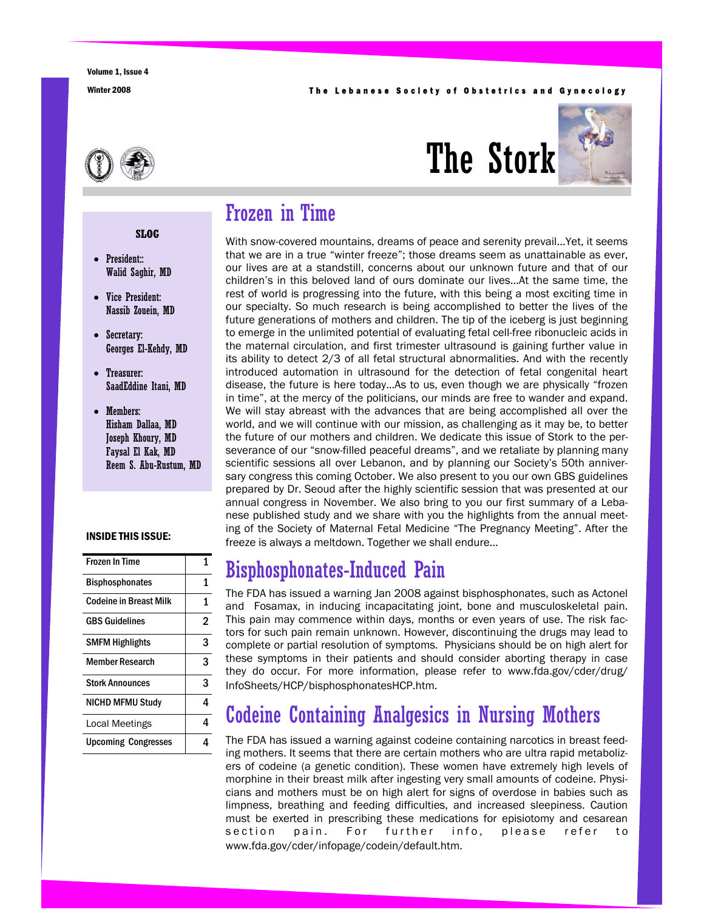#### Winter 2008 **The Lebanese Society of Obstetrics and Gynecology**



# The Stork



### Frozen in Time

With snow-covered mountains, dreams of peace and serenity prevail...Yet, it seems that we are in a true "winter freeze"; those dreams seem as unattainable as ever, our lives are at a standstill, concerns about our unknown future and that of our children's in this beloved land of ours dominate our lives...At the same time, the rest of world is progressing into the future, with this being a most exciting time in our specialty. So much research is being accomplished to better the lives of the future generations of mothers and children. The tip of the iceberg is just beginning to emerge in the unlimited potential of evaluating fetal cell-free ribonucleic acids in the maternal circulation, and first trimester ultrasound is gaining further value in its ability to detect 2/3 of all fetal structural abnormalities. And with the recently introduced automation in ultrasound for the detection of fetal congenital heart disease, the future is here today...As to us, even though we are physically "frozen in time", at the mercy of the politicians, our minds are free to wander and expand. We will stay abreast with the advances that are being accomplished all over the world, and we will continue with our mission, as challenging as it may be, to better the future of our mothers and children. We dedicate this issue of Stork to the perseverance of our "snow-filled peaceful dreams", and we retaliate by planning many scientific sessions all over Lebanon, and by planning our Society's 50th anniversary congress this coming October. We also present to you our own GBS guidelines prepared by Dr. Seoud after the highly scientific session that was presented at our annual congress in November. We also bring to you our first summary of a Lebanese published study and we share with you the highlights from the annual meeting of the Society of Maternal Fetal Medicine "The Pregnancy Meeting". After the freeze is always a meltdown. Together we shall endure...

# Bisphosphonates-Induced Pain

The FDA has issued a warning Jan 2008 against bisphosphonates, such as Actonel and Fosamax, in inducing incapacitating joint, bone and musculoskeletal pain. This pain may commence within days, months or even years of use. The risk factors for such pain remain unknown. However, discontinuing the drugs may lead to complete or partial resolution of symptoms. Physicians should be on high alert for these symptoms in their patients and should consider aborting therapy in case they do occur. For more information, please refer to www.fda.gov/cder/drug/ InfoSheets/HCP/bisphosphonatesHCP.htm.

# Codeine Containing Analgesics in Nursing Mothers

The FDA has issued a warning against codeine containing narcotics in breast feeding mothers. It seems that there are certain mothers who are ultra rapid metabolizers of codeine (a genetic condition). These women have extremely high levels of morphine in their breast milk after ingesting very small amounts of codeine. Physicians and mothers must be on high alert for signs of overdose in babies such as limpness, breathing and feeding difficulties, and increased sleepiness. Caution must be exerted in prescribing these medications for episiotomy and cesarean section pain. For further info, please refer to www.fda.gov/cder/infopage/codein/default.htm.

#### **SLOG**

- President:: Walid Saghir, MD
- Vice President: Nassib Zouein, MD
- Secretary: Georges El-Kehdy, MD
- Treasurer: SaadEddine Itani, MD
- Members: Hisham Dallaa, MD Joseph Khoury, MD Faysal El Kak, MD Reem S. Abu-Rustum, MD

#### INSIDE THIS ISSUE:

| Frozen In Time             | 1 |
|----------------------------|---|
| <b>Bisphosphonates</b>     | 1 |
| Codeine in Breast Milk     | 1 |
| GBS Guidelines             | 2 |
| <b>SMFM Highlights</b>     | 3 |
| Member Research            | 3 |
| <b>Stork Announces</b>     | 3 |
| <b>NICHD MFMU Study</b>    | 4 |
| Local Meetings             | 4 |
| <b>Upcoming Congresses</b> |   |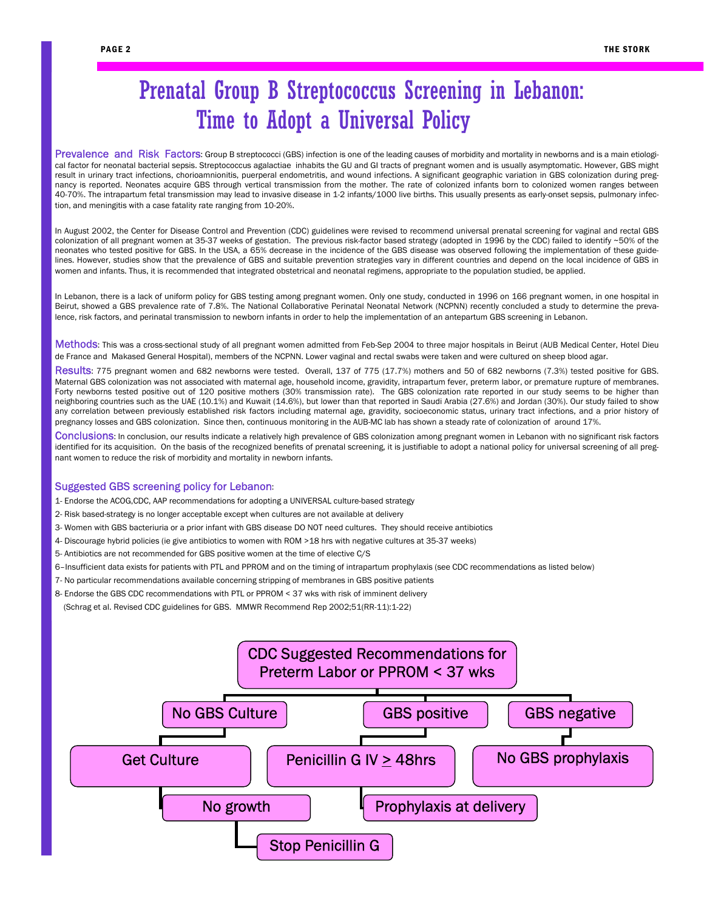# Prenatal Group B Streptococcus Screening in Lebanon: Time to Adopt a Universal Policy

Prevalence and Risk Factors: Group B streptococci (GBS) infection is one of the leading causes of morbidity and mortality in newborns and is a main etiological factor for neonatal bacterial sepsis. Streptococcus agalactiae inhabits the GU and GI tracts of pregnant women and is usually asymptomatic. However, GBS might result in urinary tract infections, chorioamnionitis, puerperal endometritis, and wound infections. A significant geographic variation in GBS colonization during pregnancy is reported. Neonates acquire GBS through vertical transmission from the mother. The rate of colonized infants born to colonized women ranges between 40-70%. The intrapartum fetal transmission may lead to invasive disease in 1-2 infants/1000 live births. This usually presents as early-onset sepsis, pulmonary infection, and meningitis with a case fatality rate ranging from 10-20%.

In August 2002, the Center for Disease Control and Prevention (CDC) guidelines were revised to recommend universal prenatal screening for vaginal and rectal GBS colonization of all pregnant women at 35-37 weeks of gestation. The previous risk-factor based strategy (adopted in 1996 by the CDC) failed to identify ~50% of the neonates who tested positive for GBS. In the USA, a 65% decrease in the incidence of the GBS disease was observed following the implementation of these guidelines. However, studies show that the prevalence of GBS and suitable prevention strategies vary in different countries and depend on the local incidence of GBS in women and infants. Thus, it is recommended that integrated obstetrical and neonatal regimens, appropriate to the population studied, be applied.

In Lebanon, there is a lack of uniform policy for GBS testing among pregnant women. Only one study, conducted in 1996 on 166 pregnant women, in one hospital in Beirut, showed a GBS prevalence rate of 7.8%. The National Collaborative Perinatal Neonatal Network (NCPNN) recently concluded a study to determine the prevalence, risk factors, and perinatal transmission to newborn infants in order to help the implementation of an antepartum GBS screening in Lebanon.

Methods: This was a cross-sectional study of all pregnant women admitted from Feb-Sep 2004 to three major hospitals in Beirut (AUB Medical Center, Hotel Dieu de France and Makased General Hospital), members of the NCPNN. Lower vaginal and rectal swabs were taken and were cultured on sheep blood agar.

Results: 775 pregnant women and 682 newborns were tested. Overall, 137 of 775 (17.7%) mothers and 50 of 682 newborns (7.3%) tested positive for GBS. Maternal GBS colonization was not associated with maternal age, household income, gravidity, intrapartum fever, preterm labor, or premature rupture of membranes. Forty newborns tested positive out of 120 positive mothers (30% transmission rate). The GBS colonization rate reported in our study seems to be higher than neighboring countries such as the UAE (10.1%) and Kuwait (14.6%), but lower than that reported in Saudi Arabia (27.6%) and Jordan (30%). Our study failed to show any correlation between previously established risk factors including maternal age, gravidity, socioeconomic status, urinary tract infections, and a prior history of pregnancy losses and GBS colonization. Since then, continuous monitoring in the AUB-MC lab has shown a steady rate of colonization of around 17%.

Conclusions: In conclusion, our results indicate a relatively high prevalence of GBS colonization among pregnant women in Lebanon with no significant risk factors identified for its acquisition. On the basis of the recognized benefits of prenatal screening, it is justifiable to adopt a national policy for universal screening of all pregnant women to reduce the risk of morbidity and mortality in newborn infants.

#### Suggested GBS screening policy for Lebanon:

- 1- Endorse the ACOG,CDC, AAP recommendations for adopting a UNIVERSAL culture-based strategy
- 2- Risk based-strategy is no longer acceptable except when cultures are not available at delivery
- 3- Women with GBS bacteriuria or a prior infant with GBS disease DO NOT need cultures. They should receive antibiotics
- 4- Discourage hybrid policies (ie give antibiotics to women with ROM >18 hrs with negative cultures at 35-37 weeks)
- 5- Antibiotics are not recommended for GBS positive women at the time of elective C/S
- 6–Insufficient data exists for patients with PTL and PPROM and on the timing of intrapartum prophylaxis (see CDC recommendations as listed below)
- 7- No particular recommendations available concerning stripping of membranes in GBS positive patients
- 8- Endorse the GBS CDC recommendations with PTL or PPROM < 37 wks with risk of imminent delivery
- (Schrag et al. Revised CDC guidelines for GBS. MMWR Recommend Rep 2002;51(RR-11):1-22)

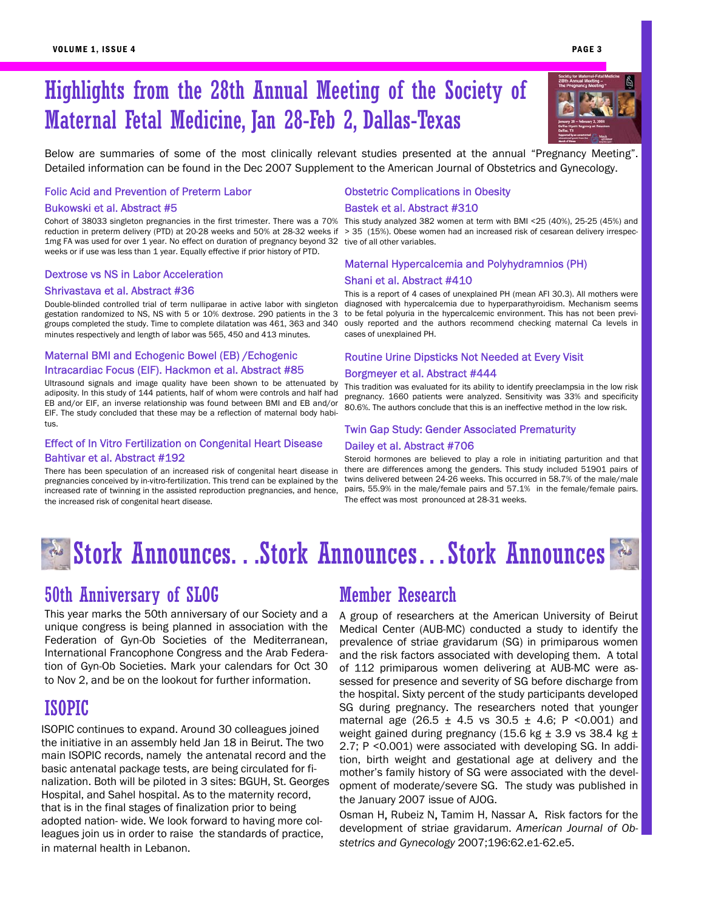# Highlights from the 28th Annual Meeting of the Society of Maternal Fetal Medicine, Jan 28-Feb 2, Dallas-Texas

Below are summaries of some of the most clinically relevant studies presented at the annual "Pregnancy Meeting". Detailed information can be found in the Dec 2007 Supplement to the American Journal of Obstetrics and Gynecology.

#### Folic Acid and Prevention of Preterm Labor

#### Bukowski et al. Abstract #5

Cohort of 38033 singleton pregnancies in the first trimester. There was a 70% reduction in preterm delivery (PTD) at 20-28 weeks and 50% at 28-32 weeks if 1mg FA was used for over 1 year. No effect on duration of pregnancy beyond 32 weeks or if use was less than 1 year. Equally effective if prior history of PTD.

#### Dextrose vs NS in Labor Acceleration

#### Shrivastava et al. Abstract #36

Double-blinded controlled trial of term nulliparae in active labor with singleton gestation randomized to NS, NS with 5 or 10% dextrose. 290 patients in the 3 groups completed the study. Time to complete dilatation was 461, 363 and 340 minutes respectively and length of labor was 565, 450 and 413 minutes.

#### Maternal BMI and Echogenic Bowel (EB) /Echogenic Intracardiac Focus (EIF). Hackmon et al. Abstract #85

Ultrasound signals and image quality have been shown to be attenuated by adiposity. In this study of 144 patients, half of whom were controls and half had EB and/or EIF, an inverse relationship was found between BMI and EB and/or EIF. The study concluded that these may be a reflection of maternal body habitus.

#### Effect of In Vitro Fertilization on Congenital Heart Disease Bahtivar et al. Abstract #192

There has been speculation of an increased risk of congenital heart disease in pregnancies conceived by in-vitro-fertilization. This trend can be explained by the increased rate of twinning in the assisted reproduction pregnancies, and hence, the increased risk of congenital heart disease.

#### Obstetric Complications in Obesity

#### Bastek et al. Abstract #310

This study analyzed 382 women at term with BMI <25 (40%), 25-25 (45%) and > 35 (15%). Obese women had an increased risk of cesarean delivery irrespective of all other variables.

#### Maternal Hypercalcemia and Polyhydramnios (PH) Shani et al. Abstract #410

This is a report of 4 cases of unexplained PH (mean AFI 30.3). All mothers were diagnosed with hypercalcemia due to hyperparathyroidism. Mechanism seems to be fetal polyuria in the hypercalcemic environment. This has not been previously reported and the authors recommend checking maternal Ca levels in cases of unexplained PH.

#### Routine Urine Dipsticks Not Needed at Every Visit

#### Borgmeyer et al. Abstract #444

This tradition was evaluated for its ability to identify preeclampsia in the low risk pregnancy. 1660 patients were analyzed. Sensitivity was 33% and specificity 80.6%. The authors conclude that this is an ineffective method in the low risk.

#### Twin Gap Study: Gender Associated Prematurity

#### Dailey et al. Abstract #706

Steroid hormones are believed to play a role in initiating parturition and that there are differences among the genders. This study included 51901 pairs of twins delivered between 24-26 weeks. This occurred in 58.7% of the male/male pairs, 55.9% in the male/female pairs and 57.1% in the female/female pairs. The effect was most pronounced at 28-31 weeks.

# Stork Announces. . . Stork Announces. . . Stork Announces

### 50th Anniversary of SLOG

This year marks the 50th anniversary of our Society and a unique congress is being planned in association with the Federation of Gyn-Ob Societies of the Mediterranean, International Francophone Congress and the Arab Federation of Gyn-Ob Societies. Mark your calendars for Oct 30 to Nov 2, and be on the lookout for further information.

### ISOPIC

ISOPIC continues to expand. Around 30 colleagues joined the initiative in an assembly held Jan 18 in Beirut. The two main ISOPIC records, namely the antenatal record and the basic antenatal package tests, are being circulated for finalization. Both will be piloted in 3 sites: BGUH, St. Georges Hospital, and Sahel hospital. As to the maternity record, that is in the final stages of finalization prior to being adopted nation- wide. We look forward to having more colleagues join us in order to raise the standards of practice, in maternal health in Lebanon.

### Member Research

A group of researchers at the American University of Beirut Medical Center (AUB-MC) conducted a study to identify the prevalence of striae gravidarum (SG) in primiparous women and the risk factors associated with developing them. A total of 112 primiparous women delivering at AUB-MC were assessed for presence and severity of SG before discharge from the hospital. Sixty percent of the study participants developed SG during pregnancy. The researchers noted that younger maternal age (26.5  $\pm$  4.5 vs 30.5  $\pm$  4.6; P <0.001) and weight gained during pregnancy (15.6 kg  $\pm$  3.9 vs 38.4 kg  $\pm$ 2.7; P <0.001) were associated with developing SG. In addition, birth weight and gestational age at delivery and the mother's family history of SG were associated with the development of moderate/severe SG. The study was published in the January 2007 issue of AJOG.

Osman H, Rubeiz N, Tamim H, Nassar A. Risk factors for the development of striae gravidarum. *American Journal of Obstetrics and Gynecology* 2007;196:62.e1-62.e5.